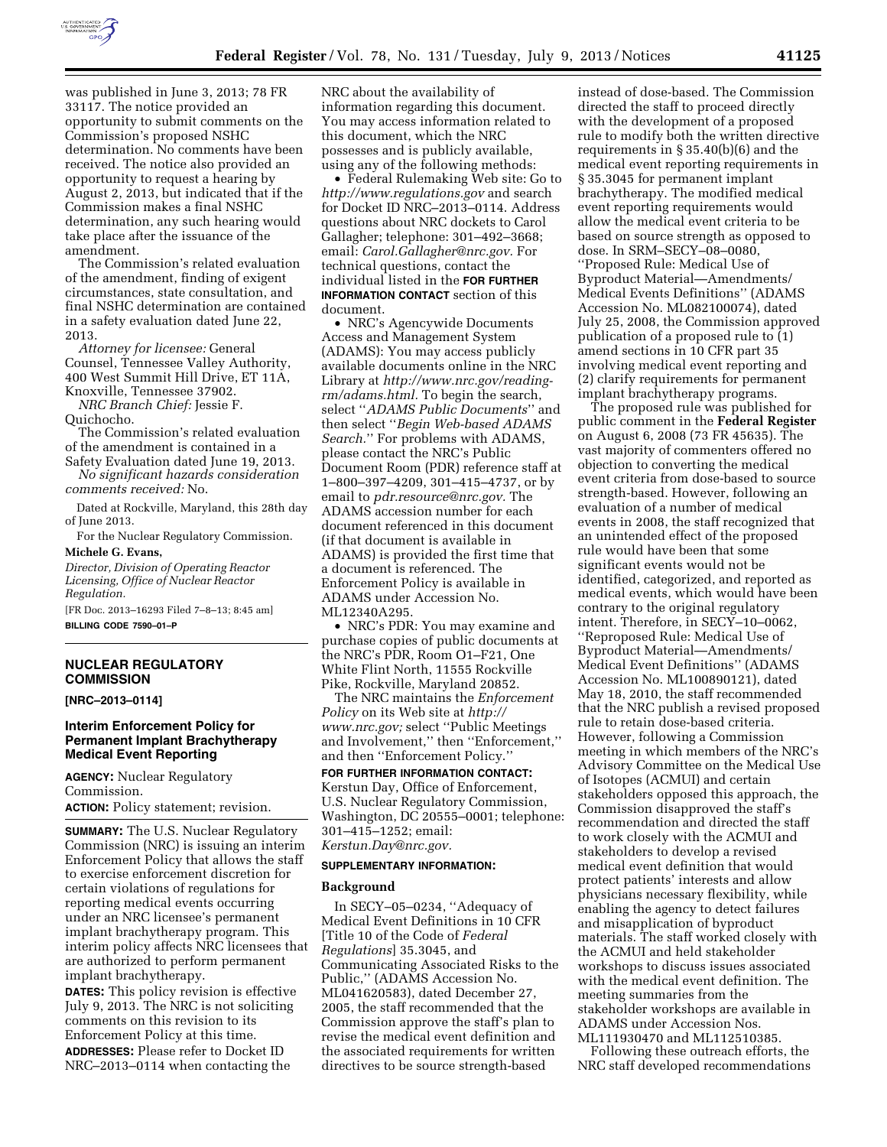

was published in June 3, 2013; 78 FR 33117. The notice provided an opportunity to submit comments on the Commission's proposed NSHC determination. No comments have been received. The notice also provided an opportunity to request a hearing by August 2, 2013, but indicated that if the Commission makes a final NSHC determination, any such hearing would take place after the issuance of the amendment.

The Commission's related evaluation of the amendment, finding of exigent circumstances, state consultation, and final NSHC determination are contained in a safety evaluation dated June 22, 2013.

*Attorney for licensee:* General Counsel, Tennessee Valley Authority, 400 West Summit Hill Drive, ET 11A, Knoxville, Tennessee 37902.

*NRC Branch Chief:* Jessie F. Quichocho.

The Commission's related evaluation of the amendment is contained in a

Safety Evaluation dated June 19, 2013. *No significant hazards consideration comments received:* No.

Dated at Rockville, Maryland, this 28th day of June 2013.

For the Nuclear Regulatory Commission.

# **Michele G. Evans,**

*Director, Division of Operating Reactor Licensing, Office of Nuclear Reactor Regulation.* 

[FR Doc. 2013–16293 Filed 7–8–13; 8:45 am] **BILLING CODE 7590–01–P** 

## **NUCLEAR REGULATORY COMMISSION**

**[NRC–2013–0114]** 

## **Interim Enforcement Policy for Permanent Implant Brachytherapy Medical Event Reporting**

**AGENCY:** Nuclear Regulatory Commission. **ACTION:** Policy statement; revision.

**SUMMARY:** The U.S. Nuclear Regulatory Commission (NRC) is issuing an interim Enforcement Policy that allows the staff to exercise enforcement discretion for certain violations of regulations for reporting medical events occurring under an NRC licensee's permanent implant brachytherapy program. This interim policy affects NRC licensees that are authorized to perform permanent implant brachytherapy.

**DATES:** This policy revision is effective July 9, 2013. The NRC is not soliciting comments on this revision to its Enforcement Policy at this time. **ADDRESSES:** Please refer to Docket ID NRC–2013–0114 when contacting the

NRC about the availability of information regarding this document. You may access information related to this document, which the NRC possesses and is publicly available, using any of the following methods:

• Federal Rulemaking Web site: Go to *<http://www.regulations.gov>* and search for Docket ID NRC–2013–0114. Address questions about NRC dockets to Carol Gallagher; telephone: 301–492–3668; email: *[Carol.Gallagher@nrc.gov.](mailto:Carol.Gallagher@nrc.gov)* For technical questions, contact the individual listed in the **FOR FURTHER INFORMATION CONTACT** section of this document.

• NRC's Agencywide Documents Access and Management System (ADAMS): You may access publicly available documents online in the NRC Library at *[http://www.nrc.gov/reading](http://www.nrc.gov/reading-rm/adams.html)[rm/adams.html.](http://www.nrc.gov/reading-rm/adams.html)* To begin the search, select ''*ADAMS Public Documents*'' and then select ''*Begin Web-based ADAMS Search.*'' For problems with ADAMS, please contact the NRC's Public Document Room (PDR) reference staff at 1–800–397–4209, 301–415–4737, or by email to *[pdr.resource@nrc.gov.](mailto:pdr.resource@nrc.gov)* The ADAMS accession number for each document referenced in this document (if that document is available in ADAMS) is provided the first time that a document is referenced. The Enforcement Policy is available in ADAMS under Accession No. ML12340A295.

• NRC's PDR: You may examine and purchase copies of public documents at the NRC's PDR, Room O1–F21, One White Flint North, 11555 Rockville Pike, Rockville, Maryland 20852.

The NRC maintains the *Enforcement Policy* on its Web site at *[http://](http://www.nrc.gov)  [www.nrc.gov;](http://www.nrc.gov)* select ''Public Meetings and Involvement,'' then ''Enforcement,'' and then ''Enforcement Policy.''

**FOR FURTHER INFORMATION CONTACT:**  Kerstun Day, Office of Enforcement, U.S. Nuclear Regulatory Commission, Washington, DC 20555–0001; telephone: 301–415–1252; email: *[Kerstun.Day@nrc.gov.](mailto:Kerstun.Day@nrc.gov)* 

#### **SUPPLEMENTARY INFORMATION:**

#### **Background**

In SECY–05–0234, ''Adequacy of Medical Event Definitions in 10 CFR [Title 10 of the Code of *Federal Regulations*] 35.3045, and Communicating Associated Risks to the Public,'' (ADAMS Accession No. ML041620583), dated December 27, 2005, the staff recommended that the Commission approve the staff's plan to revise the medical event definition and the associated requirements for written directives to be source strength-based

instead of dose-based. The Commission directed the staff to proceed directly with the development of a proposed rule to modify both the written directive requirements in § 35.40(b)(6) and the medical event reporting requirements in § 35.3045 for permanent implant brachytherapy. The modified medical event reporting requirements would allow the medical event criteria to be based on source strength as opposed to dose. In SRM–SECY–08–0080, ''Proposed Rule: Medical Use of Byproduct Material—Amendments/ Medical Events Definitions'' (ADAMS Accession No. ML082100074), dated July 25, 2008, the Commission approved publication of a proposed rule to (1) amend sections in 10 CFR part 35 involving medical event reporting and (2) clarify requirements for permanent implant brachytherapy programs.

The proposed rule was published for public comment in the **Federal Register**  on August 6, 2008 (73 FR 45635). The vast majority of commenters offered no objection to converting the medical event criteria from dose-based to source strength-based. However, following an evaluation of a number of medical events in 2008, the staff recognized that an unintended effect of the proposed rule would have been that some significant events would not be identified, categorized, and reported as medical events, which would have been contrary to the original regulatory intent. Therefore, in SECY–10–0062, ''Reproposed Rule: Medical Use of Byproduct Material—Amendments/ Medical Event Definitions'' (ADAMS Accession No. ML100890121), dated May 18, 2010, the staff recommended that the NRC publish a revised proposed rule to retain dose-based criteria. However, following a Commission meeting in which members of the NRC's Advisory Committee on the Medical Use of Isotopes (ACMUI) and certain stakeholders opposed this approach, the Commission disapproved the staff's recommendation and directed the staff to work closely with the ACMUI and stakeholders to develop a revised medical event definition that would protect patients' interests and allow physicians necessary flexibility, while enabling the agency to detect failures and misapplication of byproduct materials. The staff worked closely with the ACMUI and held stakeholder workshops to discuss issues associated with the medical event definition. The meeting summaries from the stakeholder workshops are available in ADAMS under Accession Nos. ML111930470 and ML112510385.

Following these outreach efforts, the NRC staff developed recommendations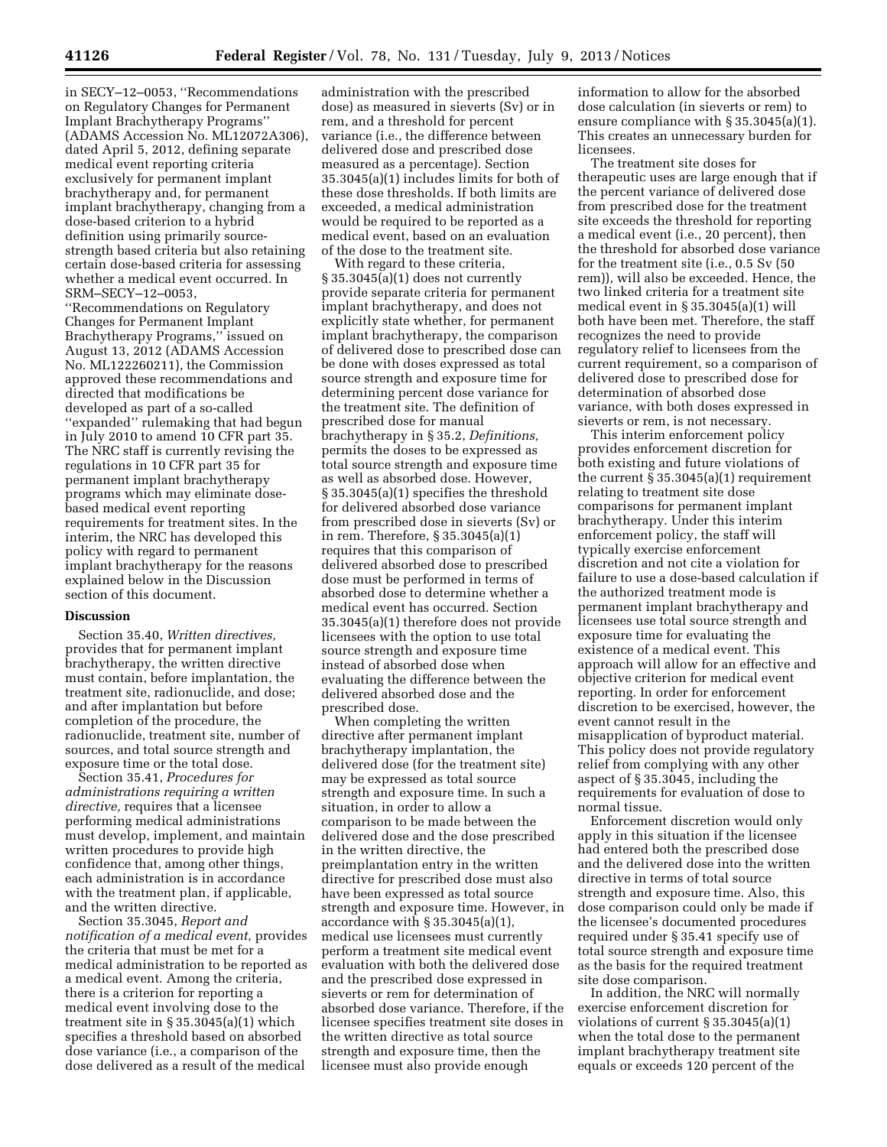in SECY–12–0053, ''Recommendations on Regulatory Changes for Permanent Implant Brachytherapy Programs'' (ADAMS Accession No. ML12072A306), dated April 5, 2012, defining separate medical event reporting criteria exclusively for permanent implant brachytherapy and, for permanent implant brachytherapy, changing from a dose-based criterion to a hybrid definition using primarily sourcestrength based criteria but also retaining certain dose-based criteria for assessing whether a medical event occurred. In SRM–SECY–12–0053,

''Recommendations on Regulatory Changes for Permanent Implant Brachytherapy Programs,'' issued on August 13, 2012 (ADAMS Accession No. ML122260211), the Commission approved these recommendations and directed that modifications be developed as part of a so-called ''expanded'' rulemaking that had begun in July 2010 to amend 10 CFR part 35. The NRC staff is currently revising the regulations in 10 CFR part 35 for permanent implant brachytherapy programs which may eliminate dosebased medical event reporting requirements for treatment sites. In the interim, the NRC has developed this policy with regard to permanent implant brachytherapy for the reasons explained below in the Discussion section of this document.

## **Discussion**

Section 35.40, *Written directives,*  provides that for permanent implant brachytherapy, the written directive must contain, before implantation, the treatment site, radionuclide, and dose; and after implantation but before completion of the procedure, the radionuclide, treatment site, number of sources, and total source strength and exposure time or the total dose.

Section 35.41, *Procedures for administrations requiring a written directive,* requires that a licensee performing medical administrations must develop, implement, and maintain written procedures to provide high confidence that, among other things, each administration is in accordance with the treatment plan, if applicable, and the written directive.

Section 35.3045, *Report and notification of a medical event,* provides the criteria that must be met for a medical administration to be reported as a medical event. Among the criteria, there is a criterion for reporting a medical event involving dose to the treatment site in § 35.3045(a)(1) which specifies a threshold based on absorbed dose variance (i.e., a comparison of the dose delivered as a result of the medical

administration with the prescribed dose) as measured in sieverts (Sv) or in rem, and a threshold for percent variance (i.e., the difference between delivered dose and prescribed dose measured as a percentage). Section 35.3045(a)(1) includes limits for both of these dose thresholds. If both limits are exceeded, a medical administration would be required to be reported as a medical event, based on an evaluation of the dose to the treatment site.

With regard to these criteria, § 35.3045(a)(1) does not currently provide separate criteria for permanent implant brachytherapy, and does not explicitly state whether, for permanent implant brachytherapy, the comparison of delivered dose to prescribed dose can be done with doses expressed as total source strength and exposure time for determining percent dose variance for the treatment site. The definition of prescribed dose for manual brachytherapy in § 35.2, *Definitions,*  permits the doses to be expressed as total source strength and exposure time as well as absorbed dose. However, § 35.3045(a)(1) specifies the threshold for delivered absorbed dose variance from prescribed dose in sieverts (Sv) or in rem. Therefore, § 35.3045(a)(1) requires that this comparison of delivered absorbed dose to prescribed dose must be performed in terms of absorbed dose to determine whether a medical event has occurred. Section 35.3045(a)(1) therefore does not provide licensees with the option to use total source strength and exposure time instead of absorbed dose when evaluating the difference between the delivered absorbed dose and the prescribed dose.

When completing the written directive after permanent implant brachytherapy implantation, the delivered dose (for the treatment site) may be expressed as total source strength and exposure time. In such a situation, in order to allow a comparison to be made between the delivered dose and the dose prescribed in the written directive, the preimplantation entry in the written directive for prescribed dose must also have been expressed as total source strength and exposure time. However, in accordance with  $\S 35.3045(a)(1)$ , medical use licensees must currently perform a treatment site medical event evaluation with both the delivered dose and the prescribed dose expressed in sieverts or rem for determination of absorbed dose variance. Therefore, if the licensee specifies treatment site doses in the written directive as total source strength and exposure time, then the licensee must also provide enough

information to allow for the absorbed dose calculation (in sieverts or rem) to ensure compliance with § 35.3045(a)(1). This creates an unnecessary burden for licensees.

The treatment site doses for therapeutic uses are large enough that if the percent variance of delivered dose from prescribed dose for the treatment site exceeds the threshold for reporting a medical event (i.e., 20 percent), then the threshold for absorbed dose variance for the treatment site (i.e., 0.5 Sv (50 rem)), will also be exceeded. Hence, the two linked criteria for a treatment site medical event in § 35.3045(a)(1) will both have been met. Therefore, the staff recognizes the need to provide regulatory relief to licensees from the current requirement, so a comparison of delivered dose to prescribed dose for determination of absorbed dose variance, with both doses expressed in sieverts or rem, is not necessary.

This interim enforcement policy provides enforcement discretion for both existing and future violations of the current  $\S 35.3045(a)(1)$  requirement relating to treatment site dose comparisons for permanent implant brachytherapy. Under this interim enforcement policy, the staff will typically exercise enforcement discretion and not cite a violation for failure to use a dose-based calculation if the authorized treatment mode is permanent implant brachytherapy and licensees use total source strength and exposure time for evaluating the existence of a medical event. This approach will allow for an effective and objective criterion for medical event reporting. In order for enforcement discretion to be exercised, however, the event cannot result in the misapplication of byproduct material. This policy does not provide regulatory relief from complying with any other aspect of § 35.3045, including the requirements for evaluation of dose to normal tissue.

Enforcement discretion would only apply in this situation if the licensee had entered both the prescribed dose and the delivered dose into the written directive in terms of total source strength and exposure time. Also, this dose comparison could only be made if the licensee's documented procedures required under § 35.41 specify use of total source strength and exposure time as the basis for the required treatment site dose comparison.

In addition, the NRC will normally exercise enforcement discretion for violations of current § 35.3045(a)(1) when the total dose to the permanent implant brachytherapy treatment site equals or exceeds 120 percent of the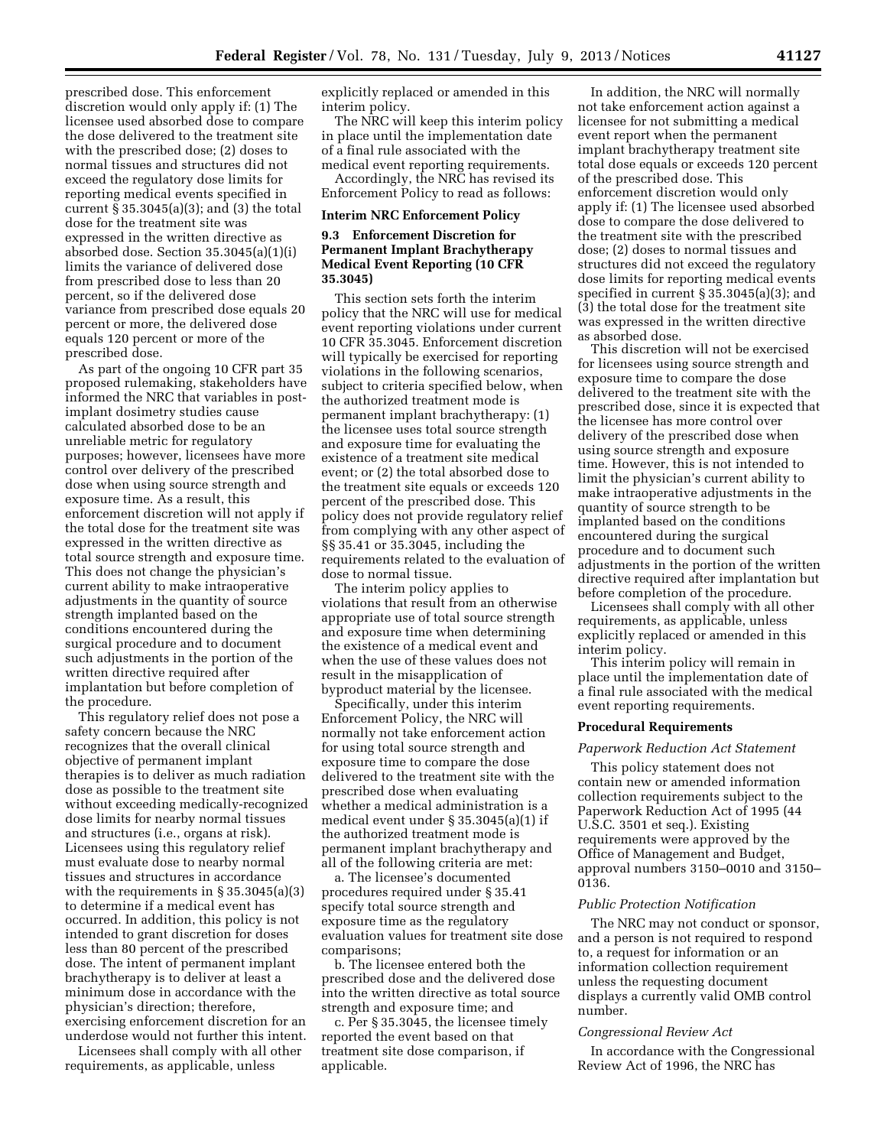prescribed dose. This enforcement discretion would only apply if: (1) The licensee used absorbed dose to compare the dose delivered to the treatment site with the prescribed dose; (2) doses to normal tissues and structures did not exceed the regulatory dose limits for reporting medical events specified in current § 35.3045(a)(3); and (3) the total dose for the treatment site was expressed in the written directive as absorbed dose. Section 35.3045(a)(1)(i) limits the variance of delivered dose from prescribed dose to less than 20 percent, so if the delivered dose variance from prescribed dose equals 20 percent or more, the delivered dose equals 120 percent or more of the prescribed dose.

As part of the ongoing 10 CFR part 35 proposed rulemaking, stakeholders have informed the NRC that variables in postimplant dosimetry studies cause calculated absorbed dose to be an unreliable metric for regulatory purposes; however, licensees have more control over delivery of the prescribed dose when using source strength and exposure time. As a result, this enforcement discretion will not apply if the total dose for the treatment site was expressed in the written directive as total source strength and exposure time. This does not change the physician's current ability to make intraoperative adjustments in the quantity of source strength implanted based on the conditions encountered during the surgical procedure and to document such adjustments in the portion of the written directive required after implantation but before completion of the procedure.

This regulatory relief does not pose a safety concern because the NRC recognizes that the overall clinical objective of permanent implant therapies is to deliver as much radiation dose as possible to the treatment site without exceeding medically-recognized dose limits for nearby normal tissues and structures (i.e., organs at risk). Licensees using this regulatory relief must evaluate dose to nearby normal tissues and structures in accordance with the requirements in § 35.3045(a)(3) to determine if a medical event has occurred. In addition, this policy is not intended to grant discretion for doses less than 80 percent of the prescribed dose. The intent of permanent implant brachytherapy is to deliver at least a minimum dose in accordance with the physician's direction; therefore, exercising enforcement discretion for an underdose would not further this intent.

Licensees shall comply with all other requirements, as applicable, unless

explicitly replaced or amended in this interim policy.

The NRC will keep this interim policy in place until the implementation date of a final rule associated with the medical event reporting requirements.

Accordingly, the NRC has revised its Enforcement Policy to read as follows:

### **Interim NRC Enforcement Policy**

## **9.3 Enforcement Discretion for Permanent Implant Brachytherapy Medical Event Reporting (10 CFR 35.3045)**

This section sets forth the interim policy that the NRC will use for medical event reporting violations under current 10 CFR 35.3045. Enforcement discretion will typically be exercised for reporting violations in the following scenarios, subject to criteria specified below, when the authorized treatment mode is permanent implant brachytherapy: (1) the licensee uses total source strength and exposure time for evaluating the existence of a treatment site medical event; or (2) the total absorbed dose to the treatment site equals or exceeds 120 percent of the prescribed dose. This policy does not provide regulatory relief from complying with any other aspect of §§ 35.41 or 35.3045, including the requirements related to the evaluation of dose to normal tissue.

The interim policy applies to violations that result from an otherwise appropriate use of total source strength and exposure time when determining the existence of a medical event and when the use of these values does not result in the misapplication of byproduct material by the licensee.

Specifically, under this interim Enforcement Policy, the NRC will normally not take enforcement action for using total source strength and exposure time to compare the dose delivered to the treatment site with the prescribed dose when evaluating whether a medical administration is a medical event under § 35.3045(a)(1) if the authorized treatment mode is permanent implant brachytherapy and all of the following criteria are met:

a. The licensee's documented procedures required under § 35.41 specify total source strength and exposure time as the regulatory evaluation values for treatment site dose comparisons;

b. The licensee entered both the prescribed dose and the delivered dose into the written directive as total source strength and exposure time; and

c. Per § 35.3045, the licensee timely reported the event based on that treatment site dose comparison, if applicable.

In addition, the NRC will normally not take enforcement action against a licensee for not submitting a medical event report when the permanent implant brachytherapy treatment site total dose equals or exceeds 120 percent of the prescribed dose. This enforcement discretion would only apply if: (1) The licensee used absorbed dose to compare the dose delivered to the treatment site with the prescribed dose; (2) doses to normal tissues and structures did not exceed the regulatory dose limits for reporting medical events specified in current § 35.3045(a)(3); and (3) the total dose for the treatment site was expressed in the written directive as absorbed dose.

This discretion will not be exercised for licensees using source strength and exposure time to compare the dose delivered to the treatment site with the prescribed dose, since it is expected that the licensee has more control over delivery of the prescribed dose when using source strength and exposure time. However, this is not intended to limit the physician's current ability to make intraoperative adjustments in the quantity of source strength to be implanted based on the conditions encountered during the surgical procedure and to document such adjustments in the portion of the written directive required after implantation but before completion of the procedure.

Licensees shall comply with all other requirements, as applicable, unless explicitly replaced or amended in this interim policy.

This interim policy will remain in place until the implementation date of a final rule associated with the medical event reporting requirements.

#### **Procedural Requirements**

### *Paperwork Reduction Act Statement*

This policy statement does not contain new or amended information collection requirements subject to the Paperwork Reduction Act of 1995 (44 U.S.C. 3501 et seq.). Existing requirements were approved by the Office of Management and Budget, approval numbers 3150–0010 and 3150– 0136.

### *Public Protection Notification*

The NRC may not conduct or sponsor, and a person is not required to respond to, a request for information or an information collection requirement unless the requesting document displays a currently valid OMB control number.

### *Congressional Review Act*

In accordance with the Congressional Review Act of 1996, the NRC has